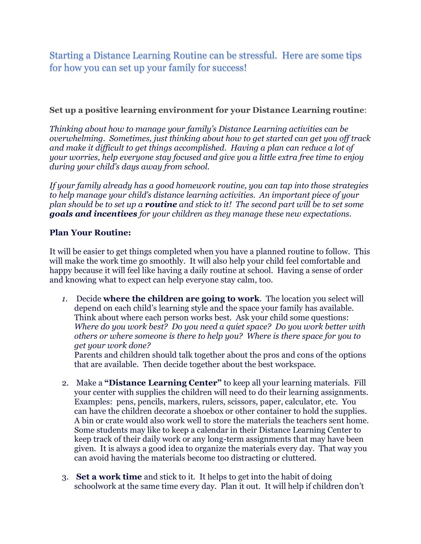Starting a Distance Learning Routine can be stressful. Here are some tips for how you can set up your family for success!

## **Set up a positive learning environment for your Distance Learning routine**:

*Thinking about how to manage your family's Distance Learning activities can be overwhelming. Sometimes, just thinking about how to get started can get you off track and make it difficult to get things accomplished. Having a plan can reduce a lot of your worries, help everyone stay focused and give you a little extra free time to enjoy during your child's days away from school.*

*If your family already has a good homework routine, you can tap into those strategies to help manage your child's distance learning activities. An important piece of your plan should be to set up a routine and stick to it! The second part will be to set some goals and incentives for your children as they manage these new expectations.*

## **Plan Your Routine:**

It will be easier to get things completed when you have a planned routine to follow. This will make the work time go smoothly. It will also help your child feel comfortable and happy because it will feel like having a daily routine at school. Having a sense of order and knowing what to expect can help everyone stay calm, too.

*1.* Decide **where the children are going to work**. The location you select will depend on each child's learning style and the space your family has available. Think about where each person works best. Ask your child some questions: *Where do you work best? Do you need a quiet space? Do you work better with others or where someone is there to help you? Where is there space for you to get your work done?* 

Parents and children should talk together about the pros and cons of the options that are available. Then decide together about the best workspace.

- 2. Make a **"Distance Learning Center"** to keep all your learning materials. Fill your center with supplies the children will need to do their learning assignments. Examples: pens, pencils, markers, rulers, scissors, paper, calculator, etc. You can have the children decorate a shoebox or other container to hold the supplies. A bin or crate would also work well to store the materials the teachers sent home. Some students may like to keep a calendar in their Distance Learning Center to keep track of their daily work or any long-term assignments that may have been given. It is always a good idea to organize the materials every day. That way you can avoid having the materials become too distracting or cluttered.
- 3. **Set a work time** and stick to it. It helps to get into the habit of doing schoolwork at the same time every day. Plan it out. It will help if children don't